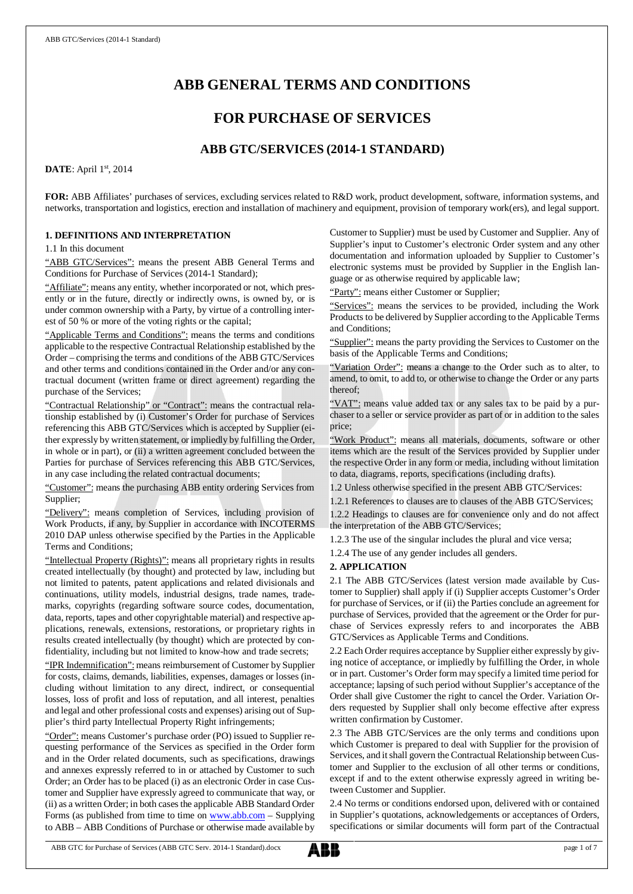# **ABB GENERAL TERMS AND CONDITIONS**

# **FOR PURCHASE OF SERVICES**

# **ABB GTC/SERVICES (2014-1 STANDARD)**

**DATE**: April 1st, 2014

**FOR:** ABB Affiliates' purchases of services, excluding services related to R&D work, product development, software, information systems, and networks, transportation and logistics, erection and installation of machinery and equipment, provision of temporary work(ers), and legal support.

### **1. DEFINITIONS AND INTERPRETATION**

1.1 In this document

"ABB GTC/Services": means the present ABB General Terms and Conditions for Purchase of Services (2014-1 Standard);

"Affiliate": means any entity, whether incorporated or not, which presently or in the future, directly or indirectly owns, is owned by, or is under common ownership with a Party, by virtue of a controlling interest of 50 % or more of the voting rights or the capital;

"Applicable Terms and Conditions": means the terms and conditions applicable to the respective Contractual Relationship established by the Order – comprising the terms and conditions of the ABB GTC/Services and other terms and conditions contained in the Order and/or any contractual document (written frame or direct agreement) regarding the purchase of the Services;

"Contractual Relationship" or "Contract": means the contractual relationship established by (i) Customer's Order for purchase of Services referencing this ABB GTC/Services which is accepted by Supplier (either expressly by written statement, or impliedly by fulfilling the Order, in whole or in part), or (ii) a written agreement concluded between the Parties for purchase of Services referencing this ABB GTC/Services, in any case including the related contractual documents;

"Customer": means the purchasing ABB entity ordering Services from Supplier;

"Delivery": means completion of Services, including provision of Work Products, if any, by Supplier in accordance with INCOTERMS 2010 DAP unless otherwise specified by the Parties in the Applicable Terms and Conditions;

"Intellectual Property (Rights)": means all proprietary rights in results created intellectually (by thought) and protected by law, including but not limited to patents, patent applications and related divisionals and continuations, utility models, industrial designs, trade names, trademarks, copyrights (regarding software source codes, documentation, data, reports, tapes and other copyrightable material) and respective applications, renewals, extensions, restorations, or proprietary rights in results created intellectually (by thought) which are protected by confidentiality, including but not limited to know-how and trade secrets;

"IPR Indemnification": means reimbursement of Customer by Supplier for costs, claims, demands, liabilities, expenses, damages or losses (including without limitation to any direct, indirect, or consequential losses, loss of profit and loss of reputation, and all interest, penalties and legal and other professional costs and expenses) arising out of Supplier's third party Intellectual Property Right infringements;

"Order": means Customer's purchase order (PO) issued to Supplier requesting performance of the Services as specified in the Order form and in the Order related documents, such as specifications, drawings and annexes expressly referred to in or attached by Customer to such Order; an Order has to be placed (i) as an electronic Order in case Customer and Supplier have expressly agreed to communicate that way, or (ii) as a written Order; in both cases the applicable ABB Standard Order Forms (as published from time to time on [www.abb.com](http://www.abb.com/) - Supplying to ABB – ABB Conditions of Purchase or otherwise made available by

Customer to Supplier) must be used by Customer and Supplier. Any of Supplier's input to Customer's electronic Order system and any other documentation and information uploaded by Supplier to Customer's electronic systems must be provided by Supplier in the English language or as otherwise required by applicable law;

"Party": means either Customer or Supplier;

"Services": means the services to be provided, including the Work Products to be delivered by Supplier according to the Applicable Terms and Conditions;

"Supplier": means the party providing the Services to Customer on the basis of the Applicable Terms and Conditions;

"Variation Order": means a change to the Order such as to alter, to amend, to omit, to add to, or otherwise to change the Order or any parts thereof;

"VAT": means value added tax or any sales tax to be paid by a purchaser to a seller or service provider as part of or in addition to the sales price;

"Work Product": means all materials, documents, software or other items which are the result of the Services provided by Supplier under the respective Order in any form or media, including without limitation to data, diagrams, reports, specifications (including drafts).

1.2 Unless otherwise specified in the present ABB GTC/Services:

1.2.1 References to clauses are to clauses of the ABB GTC/Services; 1.2.2 Headings to clauses are for convenience only and do not affect the interpretation of the ABB GTC/Services;

1.2.3 The use of the singular includes the plural and vice versa;

1.2.4 The use of any gender includes all genders.

### **2. APPLICATION**

2.1 The ABB GTC/Services (latest version made available by Customer to Supplier) shall apply if (i) Supplier accepts Customer's Order for purchase of Services, or if (ii) the Parties conclude an agreement for purchase of Services, provided that the agreement or the Order for purchase of Services expressly refers to and incorporates the ABB GTC/Services as Applicable Terms and Conditions.

2.2 Each Order requires acceptance by Supplier either expressly by giving notice of acceptance, or impliedly by fulfilling the Order, in whole or in part. Customer's Order form may specify a limited time period for acceptance; lapsing of such period without Supplier's acceptance of the Order shall give Customer the right to cancel the Order. Variation Orders requested by Supplier shall only become effective after express written confirmation by Customer.

2.3 The ABB GTC/Services are the only terms and conditions upon which Customer is prepared to deal with Supplier for the provision of Services, and it shall govern the Contractual Relationship between Customer and Supplier to the exclusion of all other terms or conditions, except if and to the extent otherwise expressly agreed in writing between Customer and Supplier.

2.4 No terms or conditions endorsed upon, delivered with or contained in Supplier's quotations, acknowledgements or acceptances of Orders, specifications or similar documents will form part of the Contractual

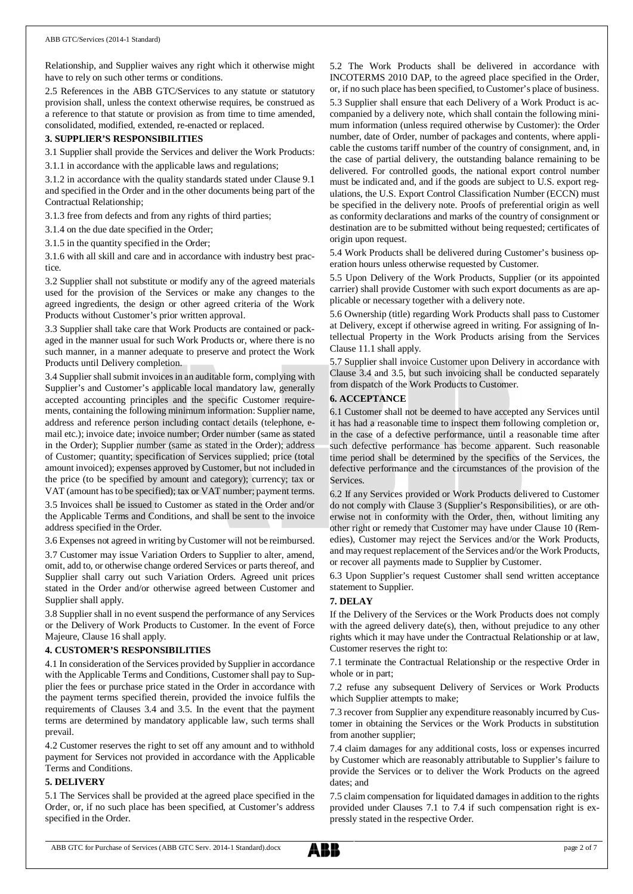Relationship, and Supplier waives any right which it otherwise might have to rely on such other terms or conditions.

2.5 References in the ABB GTC/Services to any statute or statutory provision shall, unless the context otherwise requires, be construed as a reference to that statute or provision as from time to time amended, consolidated, modified, extended, re-enacted or replaced.

### **3. SUPPLIER'S RESPONSIBILITIES**

3.1 Supplier shall provide the Services and deliver the Work Products:

3.1.1 in accordance with the applicable laws and regulations;

3.1.2 in accordance with the quality standards stated under Clause 9.1 and specified in the Order and in the other documents being part of the Contractual Relationship;

3.1.3 free from defects and from any rights of third parties;

3.1.4 on the due date specified in the Order;

3.1.5 in the quantity specified in the Order;

3.1.6 with all skill and care and in accordance with industry best practice.

3.2 Supplier shall not substitute or modify any of the agreed materials used for the provision of the Services or make any changes to the agreed ingredients, the design or other agreed criteria of the Work Products without Customer's prior written approval.

3.3 Supplier shall take care that Work Products are contained or packaged in the manner usual for such Work Products or, where there is no such manner, in a manner adequate to preserve and protect the Work Products until Delivery completion.

3.4 Supplier shall submit invoices in an auditable form, complying with Supplier's and Customer's applicable local mandatory law, generally accepted accounting principles and the specific Customer requirements, containing the following minimum information: Supplier name, address and reference person including contact details (telephone, email etc.); invoice date; invoice number; Order number (same as stated in the Order); Supplier number (same as stated in the Order); address of Customer; quantity; specification of Services supplied; price (total amount invoiced); expenses approved by Customer, but not included in the price (to be specified by amount and category); currency; tax or VAT (amount has to be specified); tax or VAT number; payment terms. 3.5 Invoices shall be issued to Customer as stated in the Order and/or

the Applicable Terms and Conditions, and shall be sent to the invoice address specified in the Order.

3.6 Expenses not agreed in writing by Customer will not be reimbursed.

3.7 Customer may issue Variation Orders to Supplier to alter, amend, omit, add to, or otherwise change ordered Services or parts thereof, and Supplier shall carry out such Variation Orders. Agreed unit prices stated in the Order and/or otherwise agreed between Customer and Supplier shall apply.

3.8 Supplier shall in no event suspend the performance of any Services or the Delivery of Work Products to Customer. In the event of Force Majeure, Clause 16 shall apply.

### **4. CUSTOMER'S RESPONSIBILITIES**

4.1 In consideration of the Services provided by Supplier in accordance with the Applicable Terms and Conditions, Customer shall pay to Supplier the fees or purchase price stated in the Order in accordance with the payment terms specified therein, provided the invoice fulfils the requirements of Clauses 3.4 and 3.5. In the event that the payment terms are determined by mandatory applicable law, such terms shall prevail.

4.2 Customer reserves the right to set off any amount and to withhold payment for Services not provided in accordance with the Applicable Terms and Conditions.

### **5. DELIVERY**

5.1 The Services shall be provided at the agreed place specified in the Order, or, if no such place has been specified, at Customer's address specified in the Order.

5.2 The Work Products shall be delivered in accordance with INCOTERMS 2010 DAP, to the agreed place specified in the Order, or, if no such place has been specified, to Customer's place of business. 5.3 Supplier shall ensure that each Delivery of a Work Product is accompanied by a delivery note, which shall contain the following minimum information (unless required otherwise by Customer): the Order number, date of Order, number of packages and contents, where applicable the customs tariff number of the country of consignment, and, in the case of partial delivery, the outstanding balance remaining to be delivered. For controlled goods, the national export control number must be indicated and, and if the goods are subject to U.S. export regulations, the U.S. Export Control Classification Number (ECCN) must be specified in the delivery note. Proofs of preferential origin as well as conformity declarations and marks of the country of consignment or destination are to be submitted without being requested; certificates of origin upon request.

5.4 Work Products shall be delivered during Customer's business operation hours unless otherwise requested by Customer.

5.5 Upon Delivery of the Work Products, Supplier (or its appointed carrier) shall provide Customer with such export documents as are applicable or necessary together with a delivery note.

5.6 Ownership (title) regarding Work Products shall pass to Customer at Delivery, except if otherwise agreed in writing. For assigning of Intellectual Property in the Work Products arising from the Services Clause 11.1 shall apply.

5.7 Supplier shall invoice Customer upon Delivery in accordance with Clause 3.4 and 3.5, but such invoicing shall be conducted separately from dispatch of the Work Products to Customer.

### **6. ACCEPTANCE**

6.1 Customer shall not be deemed to have accepted any Services until it has had a reasonable time to inspect them following completion or, in the case of a defective performance, until a reasonable time after such defective performance has become apparent. Such reasonable time period shall be determined by the specifics of the Services, the defective performance and the circumstances of the provision of the Services.

6.2 If any Services provided or Work Products delivered to Customer do not comply with Clause 3 (Supplier's Responsibilities), or are otherwise not in conformity with the Order, then, without limiting any other right or remedy that Customer may have under Clause 10 (Remedies), Customer may reject the Services and/or the Work Products, and may request replacement of the Services and/or the Work Products, or recover all payments made to Supplier by Customer.

6.3 Upon Supplier's request Customer shall send written acceptance statement to Supplier.

### **7. DELAY**

If the Delivery of the Services or the Work Products does not comply with the agreed delivery date(s), then, without prejudice to any other rights which it may have under the Contractual Relationship or at law, Customer reserves the right to:

7.1 terminate the Contractual Relationship or the respective Order in whole or in part;

7.2 refuse any subsequent Delivery of Services or Work Products which Supplier attempts to make;

7.3 recover from Supplier any expenditure reasonably incurred by Customer in obtaining the Services or the Work Products in substitution from another supplier;

7.4 claim damages for any additional costs, loss or expenses incurred by Customer which are reasonably attributable to Supplier's failure to provide the Services or to deliver the Work Products on the agreed dates; and

7.5 claim compensation for liquidated damages in addition to the rights provided under Clauses 7.1 to 7.4 if such compensation right is expressly stated in the respective Order.

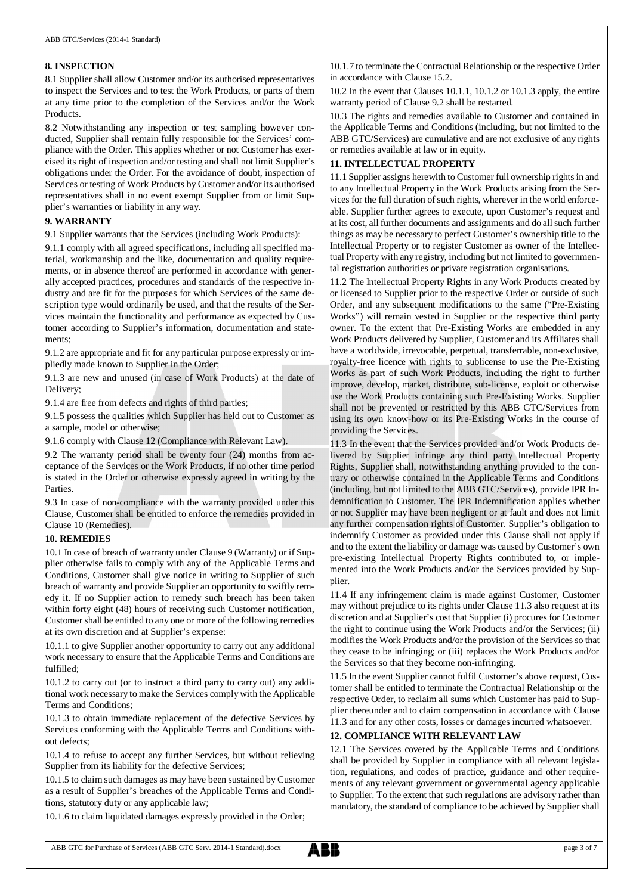### **8. INSPECTION**

8.1 Supplier shall allow Customer and/or its authorised representatives to inspect the Services and to test the Work Products, or parts of them at any time prior to the completion of the Services and/or the Work Products.

8.2 Notwithstanding any inspection or test sampling however conducted, Supplier shall remain fully responsible for the Services' compliance with the Order. This applies whether or not Customer has exercised its right of inspection and/or testing and shall not limit Supplier's obligations under the Order. For the avoidance of doubt, inspection of Services or testing of Work Products by Customer and/or its authorised representatives shall in no event exempt Supplier from or limit Supplier's warranties or liability in any way.

### **9. WARRANTY**

9.1 Supplier warrants that the Services (including Work Products):

9.1.1 comply with all agreed specifications, including all specified material, workmanship and the like, documentation and quality requirements, or in absence thereof are performed in accordance with generally accepted practices, procedures and standards of the respective industry and are fit for the purposes for which Services of the same description type would ordinarily be used, and that the results of the Services maintain the functionality and performance as expected by Customer according to Supplier's information, documentation and statements;

9.1.2 are appropriate and fit for any particular purpose expressly or impliedly made known to Supplier in the Order;

9.1.3 are new and unused (in case of Work Products) at the date of Delivery;

9.1.4 are free from defects and rights of third parties;

9.1.5 possess the qualities which Supplier has held out to Customer as a sample, model or otherwise;

9.1.6 comply with Clause 12 (Compliance with Relevant Law).

9.2 The warranty period shall be twenty four (24) months from acceptance of the Services or the Work Products, if no other time period is stated in the Order or otherwise expressly agreed in writing by the Parties.

9.3 In case of non-compliance with the warranty provided under this Clause, Customer shall be entitled to enforce the remedies provided in Clause 10 (Remedies).

### **10. REMEDIES**

10.1 In case of breach of warranty under Clause 9 (Warranty) or if Supplier otherwise fails to comply with any of the Applicable Terms and Conditions, Customer shall give notice in writing to Supplier of such breach of warranty and provide Supplier an opportunity to swiftly remedy it. If no Supplier action to remedy such breach has been taken within forty eight (48) hours of receiving such Customer notification, Customer shall be entitled to any one or more of the following remedies at its own discretion and at Supplier's expense:

10.1.1 to give Supplier another opportunity to carry out any additional work necessary to ensure that the Applicable Terms and Conditions are fulfilled;

10.1.2 to carry out (or to instruct a third party to carry out) any additional work necessary to make the Services comply with the Applicable Terms and Conditions;

10.1.3 to obtain immediate replacement of the defective Services by Services conforming with the Applicable Terms and Conditions without defects;

10.1.4 to refuse to accept any further Services, but without relieving Supplier from its liability for the defective Services;

10.1.5 to claim such damages as may have been sustained by Customer as a result of Supplier's breaches of the Applicable Terms and Conditions, statutory duty or any applicable law;

10.1.6 to claim liquidated damages expressly provided in the Order;

10.1.7 to terminate the Contractual Relationship or the respective Order in accordance with Clause 15.2.

10.2 In the event that Clauses 10.1.1, 10.1.2 or 10.1.3 apply, the entire warranty period of Clause 9.2 shall be restarted.

10.3 The rights and remedies available to Customer and contained in the Applicable Terms and Conditions (including, but not limited to the ABB GTC/Services) are cumulative and are not exclusive of any rights or remedies available at law or in equity.

### **11. INTELLECTUAL PROPERTY**

11.1 Supplier assigns herewith to Customer full ownership rights in and to any Intellectual Property in the Work Products arising from the Services for the full duration of such rights, wherever in the world enforceable. Supplier further agrees to execute, upon Customer's request and at its cost, all further documents and assignments and do all such further things as may be necessary to perfect Customer's ownership title to the Intellectual Property or to register Customer as owner of the Intellectual Property with any registry, including but not limited to governmental registration authorities or private registration organisations.

11.2 The Intellectual Property Rights in any Work Products created by or licensed to Supplier prior to the respective Order or outside of such Order, and any subsequent modifications to the same ("Pre-Existing Works") will remain vested in Supplier or the respective third party owner. To the extent that Pre-Existing Works are embedded in any Work Products delivered by Supplier, Customer and its Affiliates shall have a worldwide, irrevocable, perpetual, transferrable, non-exclusive, royalty-free licence with rights to sublicense to use the Pre-Existing Works as part of such Work Products, including the right to further improve, develop, market, distribute, sub-license, exploit or otherwise use the Work Products containing such Pre-Existing Works. Supplier shall not be prevented or restricted by this ABB GTC/Services from using its own know-how or its Pre-Existing Works in the course of providing the Services.

11.3 In the event that the Services provided and/or Work Products delivered by Supplier infringe any third party Intellectual Property Rights, Supplier shall, notwithstanding anything provided to the contrary or otherwise contained in the Applicable Terms and Conditions (including, but not limited to the ABB GTC/Services), provide IPR Indemnification to Customer. The IPR Indemnification applies whether or not Supplier may have been negligent or at fault and does not limit any further compensation rights of Customer. Supplier's obligation to indemnify Customer as provided under this Clause shall not apply if and to the extent the liability or damage was caused by Customer's own pre-existing Intellectual Property Rights contributed to, or implemented into the Work Products and/or the Services provided by Supplier.

11.4 If any infringement claim is made against Customer, Customer may without prejudice to its rights under Clause 11.3 also request at its discretion and at Supplier's cost that Supplier (i) procures for Customer the right to continue using the Work Products and/or the Services; (ii) modifies the Work Products and/or the provision of the Services so that they cease to be infringing; or (iii) replaces the Work Products and/or the Services so that they become non-infringing.

11.5 In the event Supplier cannot fulfil Customer's above request, Customer shall be entitled to terminate the Contractual Relationship or the respective Order, to reclaim all sums which Customer has paid to Supplier thereunder and to claim compensation in accordance with Clause 11.3 and for any other costs, losses or damages incurred whatsoever.

### **12. COMPLIANCE WITH RELEVANT LAW**

12.1 The Services covered by the Applicable Terms and Conditions shall be provided by Supplier in compliance with all relevant legislation, regulations, and codes of practice, guidance and other requirements of any relevant government or governmental agency applicable to Supplier. To the extent that such regulations are advisory rather than mandatory, the standard of compliance to be achieved by Supplier shall

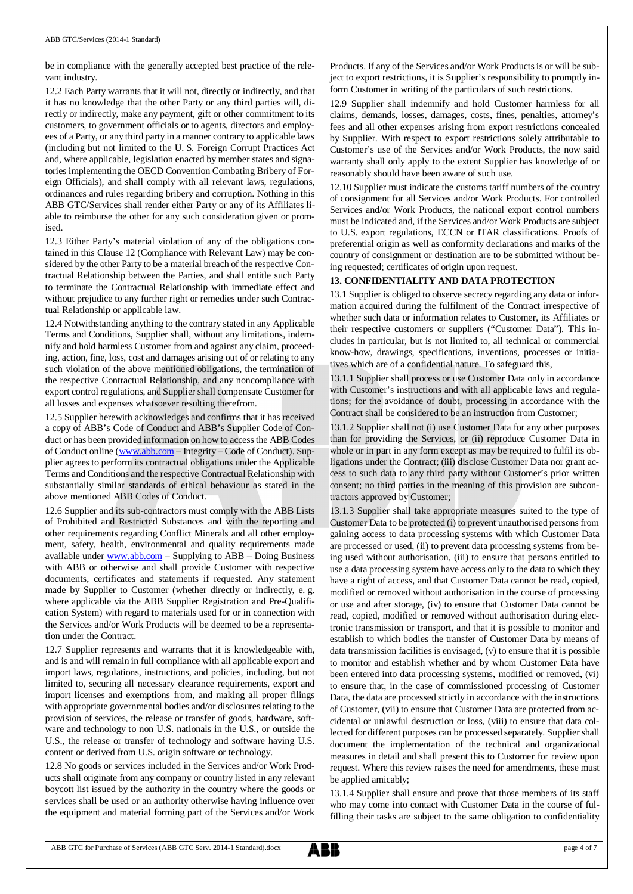be in compliance with the generally accepted best practice of the relevant industry.

12.2 Each Party warrants that it will not, directly or indirectly, and that it has no knowledge that the other Party or any third parties will, directly or indirectly, make any payment, gift or other commitment to its customers, to government officials or to agents, directors and employees of a Party, or any third party in a manner contrary to applicable laws (including but not limited to the U. S. Foreign Corrupt Practices Act and, where applicable, legislation enacted by member states and signatories implementing the OECD Convention Combating Bribery of Foreign Officials), and shall comply with all relevant laws, regulations, ordinances and rules regarding bribery and corruption. Nothing in this ABB GTC/Services shall render either Party or any of its Affiliates liable to reimburse the other for any such consideration given or promised.

12.3 Either Party's material violation of any of the obligations contained in this Clause 12 (Compliance with Relevant Law) may be considered by the other Party to be a material breach of the respective Contractual Relationship between the Parties, and shall entitle such Party to terminate the Contractual Relationship with immediate effect and without prejudice to any further right or remedies under such Contractual Relationship or applicable law.

12.4 Notwithstanding anything to the contrary stated in any Applicable Terms and Conditions, Supplier shall, without any limitations, indemnify and hold harmless Customer from and against any claim, proceeding, action, fine, loss, cost and damages arising out of or relating to any such violation of the above mentioned obligations, the termination of the respective Contractual Relationship, and any noncompliance with export control regulations, and Supplier shall compensate Customer for all losses and expenses whatsoever resulting therefrom.

12.5 Supplier herewith acknowledges and confirms that it has received a copy of ABB's Code of Conduct and ABB's Supplier Code of Conduct or has been provided information on how to access the ABB Codes of Conduct online ([www.abb.com](http://www.abb.com/) – Integrity – Code of Conduct). Supplier agrees to perform its contractual obligations under the Applicable Terms and Conditions and the respective Contractual Relationship with substantially similar standards of ethical behaviour as stated in the above mentioned ABB Codes of Conduct.

12.6 Supplier and its sub-contractors must comply with the ABB Lists of Prohibited and Restricted Substances and with the reporting and other requirements regarding Conflict Minerals and all other employment, safety, health, environmental and quality requirements made available under [www.abb.com](http://www.abb.com/) – Supplying to ABB – Doing Business with ABB or otherwise and shall provide Customer with respective documents, certificates and statements if requested. Any statement made by Supplier to Customer (whether directly or indirectly, e. g. where applicable via the ABB Supplier Registration and Pre-Qualification System) with regard to materials used for or in connection with the Services and/or Work Products will be deemed to be a representation under the Contract.

12.7 Supplier represents and warrants that it is knowledgeable with, and is and will remain in full compliance with all applicable export and import laws, regulations, instructions, and policies, including, but not limited to, securing all necessary clearance requirements, export and import licenses and exemptions from, and making all proper filings with appropriate governmental bodies and/or disclosures relating to the provision of services, the release or transfer of goods, hardware, software and technology to non U.S. nationals in the U.S., or outside the U.S., the release or transfer of technology and software having U.S. content or derived from U.S. origin software or technology.

12.8 No goods or services included in the Services and/or Work Products shall originate from any company or country listed in any relevant boycott list issued by the authority in the country where the goods or services shall be used or an authority otherwise having influence over the equipment and material forming part of the Services and/or Work

Products. If any of the Services and/or Work Products is or will be subject to export restrictions, it is Supplier's responsibility to promptly inform Customer in writing of the particulars of such restrictions.

12.9 Supplier shall indemnify and hold Customer harmless for all claims, demands, losses, damages, costs, fines, penalties, attorney's fees and all other expenses arising from export restrictions concealed by Supplier. With respect to export restrictions solely attributable to Customer's use of the Services and/or Work Products, the now said warranty shall only apply to the extent Supplier has knowledge of or reasonably should have been aware of such use.

12.10 Supplier must indicate the customs tariff numbers of the country of consignment for all Services and/or Work Products. For controlled Services and/or Work Products, the national export control numbers must be indicated and, if the Services and/or Work Products are subject to U.S. export regulations, ECCN or ITAR classifications. Proofs of preferential origin as well as conformity declarations and marks of the country of consignment or destination are to be submitted without being requested; certificates of origin upon request.

# **13. CONFIDENTIALITY AND DATA PROTECTION**

13.1 Supplier is obliged to observe secrecy regarding any data or information acquired during the fulfilment of the Contract irrespective of whether such data or information relates to Customer, its Affiliates or their respective customers or suppliers ("Customer Data"). This includes in particular, but is not limited to, all technical or commercial know-how, drawings, specifications, inventions, processes or initiatives which are of a confidential nature. To safeguard this,

13.1.1 Supplier shall process or use Customer Data only in accordance with Customer's instructions and with all applicable laws and regulations; for the avoidance of doubt, processing in accordance with the Contract shall be considered to be an instruction from Customer;

13.1.2 Supplier shall not (i) use Customer Data for any other purposes than for providing the Services, or (ii) reproduce Customer Data in whole or in part in any form except as may be required to fulfil its obligations under the Contract; (iii) disclose Customer Data nor grant access to such data to any third party without Customer's prior written consent; no third parties in the meaning of this provision are subcontractors approved by Customer;

13.1.3 Supplier shall take appropriate measures suited to the type of Customer Data to be protected (i) to prevent unauthorised persons from gaining access to data processing systems with which Customer Data are processed or used, (ii) to prevent data processing systems from being used without authorisation, (iii) to ensure that persons entitled to use a data processing system have access only to the data to which they have a right of access, and that Customer Data cannot be read, copied, modified or removed without authorisation in the course of processing or use and after storage, (iv) to ensure that Customer Data cannot be read, copied, modified or removed without authorisation during electronic transmission or transport, and that it is possible to monitor and establish to which bodies the transfer of Customer Data by means of data transmission facilities is envisaged, (v) to ensure that it is possible to monitor and establish whether and by whom Customer Data have been entered into data processing systems, modified or removed, (vi) to ensure that, in the case of commissioned processing of Customer Data, the data are processed strictly in accordance with the instructions of Customer, (vii) to ensure that Customer Data are protected from accidental or unlawful destruction or loss, (viii) to ensure that data collected for different purposes can be processed separately. Supplier shall document the implementation of the technical and organizational measures in detail and shall present this to Customer for review upon request. Where this review raises the need for amendments, these must be applied amicably;

13.1.4 Supplier shall ensure and prove that those members of its staff who may come into contact with Customer Data in the course of fulfilling their tasks are subject to the same obligation to confidentiality

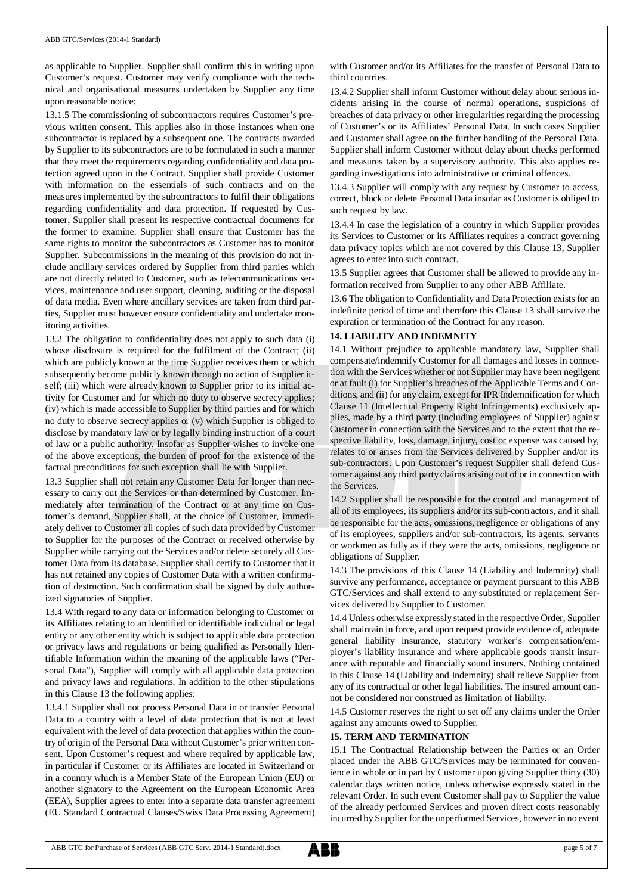as applicable to Supplier. Supplier shall confirm this in writing upon Customer's request. Customer may verify compliance with the technical and organisational measures undertaken by Supplier any time upon reasonable notice;

13.1.5 The commissioning of subcontractors requires Customer's previous written consent. This applies also in those instances when one subcontractor is replaced by a subsequent one. The contracts awarded by Supplier to its subcontractors are to be formulated in such a manner that they meet the requirements regarding confidentiality and data protection agreed upon in the Contract. Supplier shall provide Customer with information on the essentials of such contracts and on the measures implemented by the subcontractors to fulfil their obligations regarding confidentiality and data protection. If requested by Customer, Supplier shall present its respective contractual documents for the former to examine. Supplier shall ensure that Customer has the same rights to monitor the subcontractors as Customer has to monitor Supplier. Subcommissions in the meaning of this provision do not include ancillary services ordered by Supplier from third parties which are not directly related to Customer, such as telecommunications services, maintenance and user support, cleaning, auditing or the disposal of data media. Even where ancillary services are taken from third parties, Supplier must however ensure confidentiality and undertake monitoring activities.

13.2 The obligation to confidentiality does not apply to such data (i) whose disclosure is required for the fulfilment of the Contract; (ii) which are publicly known at the time Supplier receives them or which subsequently become publicly known through no action of Supplier itself; (iii) which were already known to Supplier prior to its initial activity for Customer and for which no duty to observe secrecy applies; (iv) which is made accessible to Supplier by third parties and for which no duty to observe secrecy applies or (v) which Supplier is obliged to disclose by mandatory law or by legally binding instruction of a court of law or a public authority. Insofar as Supplier wishes to invoke one of the above exceptions, the burden of proof for the existence of the factual preconditions for such exception shall lie with Supplier.

13.3 Supplier shall not retain any Customer Data for longer than necessary to carry out the Services or than determined by Customer. Immediately after termination of the Contract or at any time on Customer's demand, Supplier shall, at the choice of Customer, immediately deliver to Customer all copies of such data provided by Customer to Supplier for the purposes of the Contract or received otherwise by Supplier while carrying out the Services and/or delete securely all Customer Data from its database. Supplier shall certify to Customer that it has not retained any copies of Customer Data with a written confirmation of destruction. Such confirmation shall be signed by duly authorized signatories of Supplier.

13.4 With regard to any data or information belonging to Customer or its Affiliates relating to an identified or identifiable individual or legal entity or any other entity which is subject to applicable data protection or privacy laws and regulations or being qualified as Personally Identifiable Information within the meaning of the applicable laws ("Personal Data"), Supplier will comply with all applicable data protection and privacy laws and regulations. In addition to the other stipulations in this Clause 13 the following applies:

13.4.1 Supplier shall not process Personal Data in or transfer Personal Data to a country with a level of data protection that is not at least equivalent with the level of data protection that applies within the country of origin of the Personal Data without Customer's prior written consent. Upon Customer's request and where required by applicable law, in particular if Customer or its Affiliates are located in Switzerland or in a country which is a Member State of the European Union (EU) or another signatory to the Agreement on the European Economic Area (EEA), Supplier agrees to enter into a separate data transfer agreement (EU Standard Contractual Clauses/Swiss Data Processing Agreement) with Customer and/or its Affiliates for the transfer of Personal Data to third countries.

13.4.2 Supplier shall inform Customer without delay about serious incidents arising in the course of normal operations, suspicions of breaches of data privacy or other irregularities regarding the processing of Customer's or its Affiliates' Personal Data. In such cases Supplier and Customer shall agree on the further handling of the Personal Data. Supplier shall inform Customer without delay about checks performed and measures taken by a supervisory authority. This also applies regarding investigations into administrative or criminal offences.

13.4.3 Supplier will comply with any request by Customer to access, correct, block or delete Personal Data insofar as Customer is obliged to such request by law.

13.4.4 In case the legislation of a country in which Supplier provides its Services to Customer or its Affiliates requires a contract governing data privacy topics which are not covered by this Clause 13, Supplier agrees to enter into such contract.

13.5 Supplier agrees that Customer shall be allowed to provide any information received from Supplier to any other ABB Affiliate.

13.6 The obligation to Confidentiality and Data Protection exists for an indefinite period of time and therefore this Clause 13 shall survive the expiration or termination of the Contract for any reason.

## **14. LIABILITY AND INDEMNITY**

14.1 Without prejudice to applicable mandatory law, Supplier shall compensate/indemnify Customer for all damages and losses in connection with the Services whether or not Supplier may have been negligent or at fault (i) for Supplier's breaches of the Applicable Terms and Conditions, and (ii) for any claim, except for IPR Indemnification for which Clause 11 (Intellectual Property Right Infringements) exclusively applies, made by a third party (including employees of Supplier) against Customer in connection with the Services and to the extent that the respective liability, loss, damage, injury, cost or expense was caused by, relates to or arises from the Services delivered by Supplier and/or its sub-contractors. Upon Customer's request Supplier shall defend Customer against any third party claims arising out of or in connection with the Services.

14.2 Supplier shall be responsible for the control and management of all of its employees, its suppliers and/or its sub-contractors, and it shall be responsible for the acts, omissions, negligence or obligations of any of its employees, suppliers and/or sub-contractors, its agents, servants or workmen as fully as if they were the acts, omissions, negligence or obligations of Supplier.

14.3 The provisions of this Clause 14 (Liability and Indemnity) shall survive any performance, acceptance or payment pursuant to this ABB GTC/Services and shall extend to any substituted or replacement Services delivered by Supplier to Customer.

14.4 Unless otherwise expressly stated in the respective Order, Supplier shall maintain in force, and upon request provide evidence of, adequate general liability insurance, statutory worker's compensation/employer's liability insurance and where applicable goods transit insurance with reputable and financially sound insurers. Nothing contained in this Clause 14 (Liability and Indemnity) shall relieve Supplier from any of its contractual or other legal liabilities. The insured amount cannot be considered nor construed as limitation of liability.

14.5 Customer reserves the right to set off any claims under the Order against any amounts owed to Supplier.

# **15. TERM AND TERMINATION**

15.1 The Contractual Relationship between the Parties or an Order placed under the ABB GTC/Services may be terminated for convenience in whole or in part by Customer upon giving Supplier thirty (30) calendar days written notice, unless otherwise expressly stated in the relevant Order. In such event Customer shall pay to Supplier the value of the already performed Services and proven direct costs reasonably incurred by Supplier for the unperformed Services, however in no event

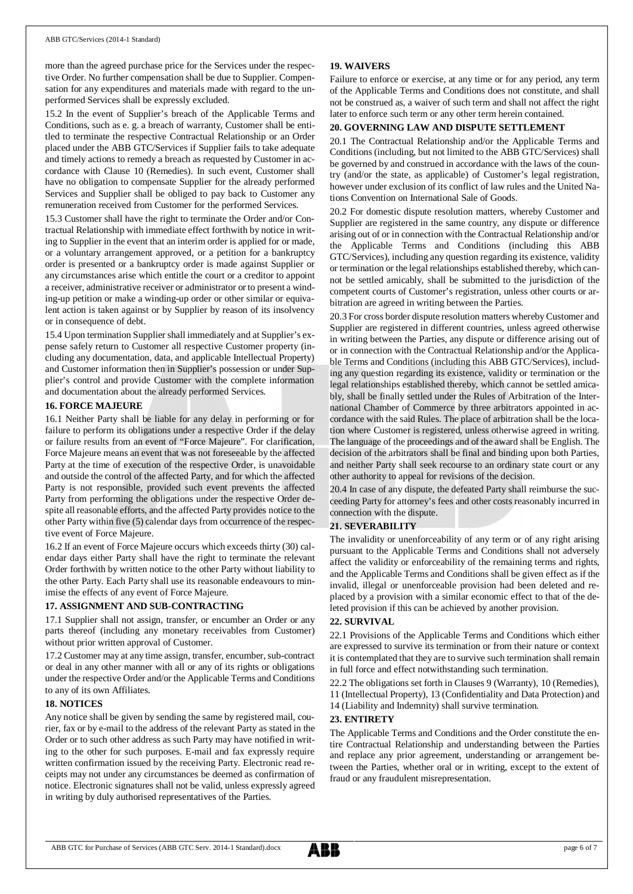more than the agreed purchase price for the Services under the respective Order. No further compensation shall be due to Supplier. Compensation for any expenditures and materials made with regard to the unperformed Services shall be expressly excluded.

15.2 In the event of Supplier's breach of the Applicable Terms and Conditions, such as e. g. a breach of warranty, Customer shall be entitled to terminate the respective Contractual Relationship or an Order placed under the ABB GTC/Services if Supplier fails to take adequate and timely actions to remedy a breach as requested by Customer in accordance with Clause 10 (Remedies). In such event, Customer shall have no obligation to compensate Supplier for the already performed Services and Supplier shall be obliged to pay back to Customer any remuneration received from Customer for the performed Services.

15.3 Customer shall have the right to terminate the Order and/or Contractual Relationship with immediate effect forthwith by notice in writing to Supplier in the event that an interim order is applied for or made, or a voluntary arrangement approved, or a petition for a bankruptcy order is presented or a bankruptcy order is made against Supplier or any circumstances arise which entitle the court or a creditor to appoint a receiver, administrative receiver or administrator or to present a winding-up petition or make a winding-up order or other similar or equivalent action is taken against or by Supplier by reason of its insolvency or in consequence of debt.

15.4 Upon termination Supplier shall immediately and at Supplier's expense safely return to Customer all respective Customer property (including any documentation, data, and applicable Intellectual Property) and Customer information then in Supplier's possession or under Supplier's control and provide Customer with the complete information and documentation about the already performed Services.

#### **16. FORCE MAJEURE**

16.1 Neither Party shall be liable for any delay in performing or for failure to perform its obligations under a respective Order if the delay or failure results from an event of "Force Majeure". For clarification, Force Majeure means an event that was not foreseeable by the affected Party at the time of execution of the respective Order, is unavoidable and outside the control of the affected Party, and for which the affected Party is not responsible, provided such event prevents the affected Party from performing the obligations under the respective Order despite all reasonable efforts, and the affected Party provides notice to the other Party within five (5) calendar days from occurrence of the respective event of Force Majeure.

16.2 If an event of Force Majeure occurs which exceeds thirty (30) calendar days either Party shall have the right to terminate the relevant Order forthwith by written notice to the other Party without liability to the other Party. Each Party shall use its reasonable endeavours to minimise the effects of any event of Force Majeure.

### **17. ASSIGNMENT AND SUB-CONTRACTING**

17.1 Supplier shall not assign, transfer, or encumber an Order or any parts thereof (including any monetary receivables from Customer) without prior written approval of Customer.

17.2 Customer may at any time assign, transfer, encumber, sub-contract or deal in any other manner with all or any of its rights or obligations under the respective Order and/or the Applicable Terms and Conditions to any of its own Affiliates.

### **18. NOTICES**

Any notice shall be given by sending the same by registered mail, courier, fax or by e-mail to the address of the relevant Party as stated in the Order or to such other address as such Party may have notified in writing to the other for such purposes. E-mail and fax expressly require written confirmation issued by the receiving Party. Electronic read receipts may not under any circumstances be deemed as confirmation of notice. Electronic signatures shall not be valid, unless expressly agreed in writing by duly authorised representatives of the Parties.

### **19. WAIVERS**

Failure to enforce or exercise, at any time or for any period, any term of the Applicable Terms and Conditions does not constitute, and shall not be construed as, a waiver of such term and shall not affect the right later to enforce such term or any other term herein contained.

### **20. GOVERNING LAW AND DISPUTE SETTLEMENT**

20.1 The Contractual Relationship and/or the Applicable Terms and Conditions (including, but not limited to the ABB GTC/Services) shall be governed by and construed in accordance with the laws of the country (and/or the state, as applicable) of Customer's legal registration, however under exclusion of its conflict of law rules and the United Nations Convention on International Sale of Goods.

20.2 For domestic dispute resolution matters, whereby Customer and Supplier are registered in the same country, any dispute or difference arising out of or in connection with the Contractual Relationship and/or the Applicable Terms and Conditions (including this ABB GTC/Services), including any question regarding its existence, validity or termination or the legal relationships established thereby, which cannot be settled amicably, shall be submitted to the jurisdiction of the competent courts of Customer's registration, unless other courts or arbitration are agreed in writing between the Parties.

20.3 For cross border dispute resolution matters whereby Customer and Supplier are registered in different countries, unless agreed otherwise in writing between the Parties, any dispute or difference arising out of or in connection with the Contractual Relationship and/or the Applicable Terms and Conditions (including this ABB GTC/Services), including any question regarding its existence, validity or termination or the legal relationships established thereby, which cannot be settled amicably, shall be finally settled under the Rules of Arbitration of the International Chamber of Commerce by three arbitrators appointed in accordance with the said Rules. The place of arbitration shall be the location where Customer is registered, unless otherwise agreed in writing. The language of the proceedings and of the award shall be English. The decision of the arbitrators shall be final and binding upon both Parties, and neither Party shall seek recourse to an ordinary state court or any other authority to appeal for revisions of the decision.

20.4 In case of any dispute, the defeated Party shall reimburse the succeeding Party for attorney's fees and other costs reasonably incurred in connection with the dispute.

#### **21. SEVERABILITY**

The invalidity or unenforceability of any term or of any right arising pursuant to the Applicable Terms and Conditions shall not adversely affect the validity or enforceability of the remaining terms and rights, and the Applicable Terms and Conditions shall be given effect as if the invalid, illegal or unenforceable provision had been deleted and replaced by a provision with a similar economic effect to that of the deleted provision if this can be achieved by another provision.

#### **22. SURVIVAL**

22.1 Provisions of the Applicable Terms and Conditions which either are expressed to survive its termination or from their nature or context it is contemplated that they are to survive such termination shall remain in full force and effect notwithstanding such termination.

22.2 The obligations set forth in Clauses 9 (Warranty), 10 (Remedies),

11 (Intellectual Property), 13 (Confidentiality and Data Protection) and 14 (Liability and Indemnity) shall survive termination.

#### **23. ENTIRETY**

The Applicable Terms and Conditions and the Order constitute the entire Contractual Relationship and understanding between the Parties and replace any prior agreement, understanding or arrangement between the Parties, whether oral or in writing, except to the extent of fraud or any fraudulent misrepresentation.